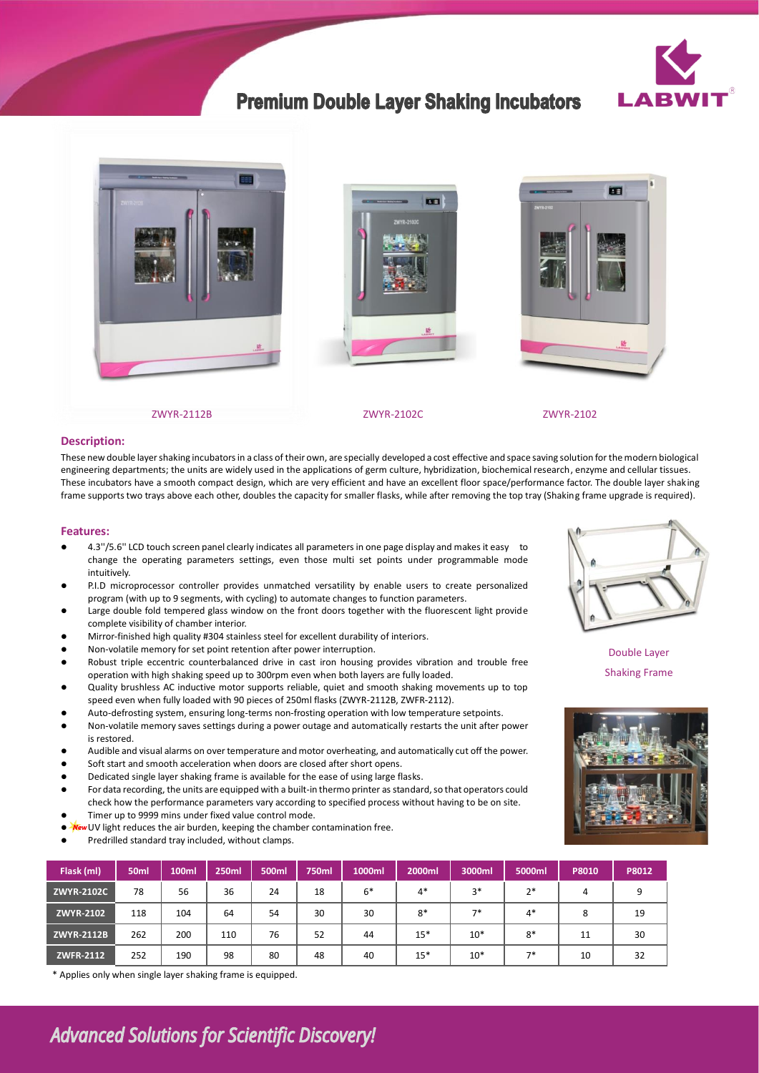

## **Premium Double Layer Shaking Incubators**







### **Description:**

These new double layer shaking incubators in a class of their own, are specially developed a cost effective and space saving solution for the modern biological engineering departments; the units are widely used in the applications of germ culture, hybridization, biochemical research, enzyme and cellular tissues. These incubators have a smooth compact design, which are very efficient and have an excellent floor space/performance factor. The double layer shaking frame supports two trays above each other, doubles the capacity for smaller flasks, while after removing the top tray (Shaking frame upgrade is required).

#### **Features:**

- ⚫ 4.3''/5.6'' LCD touch screen panel clearly indicates all parameters in one page display and makes it easy to change the operating parameters settings, even those multi set points under programmable mode intuitively.
- P.I.D microprocessor controller provides unmatched versatility by enable users to create personalized program (with up to 9 segments, with cycling) to automate changes to function parameters.
- Large double fold tempered glass window on the front doors together with the fluorescent light provide complete visibility of chamber interior.
- ⚫ Mirror-finished high quality #304 stainless steel for excellent durability of interiors.
- ⚫ Non-volatile memory for set point retention after power interruption.
- ⚫ Robust triple eccentric counterbalanced drive in cast iron housing provides vibration and trouble free operation with high shaking speed up to 300rpm even when both layers are fully loaded.
- ⚫ Quality brushless AC inductive motor supports reliable, quiet and smooth shaking movements up to top speed even when fully loaded with 90 pieces of 250ml flasks (ZWYR-2112B, ZWFR-2112).
- ⚫ Auto-defrosting system, ensuring long-terms non-frosting operation with low temperature setpoints. ⚫ Non-volatile memory saves settings during a power outage and automatically restarts the unit after power is restored.
- ⚫ Audible and visual alarms on over temperature and motor overheating, and automatically cut off the power.
- Soft start and smooth acceleration when doors are closed after short opens.
- ⚫ Dedicated single layer shaking frame is available for the ease of using large flasks.
- ⚫ For data recording, the units are equipped with a built-in thermo printer as standard, so that operators could check how the performance parameters vary according to specified process without having to be on site. ⚫ Timer up to 9999 mins under fixed value control mode.
- ⚫ UV light reduces the air burden, keeping the chamber contamination free.
- ⚫ Predrilled standard tray included, without clamps.

| Flask (ml)        | 50 <sub>ml</sub> | 100ml | 250ml | 500ml | 750ml | 1000ml | 2000ml | 3000ml | 5000ml | P8010 | P8012 |
|-------------------|------------------|-------|-------|-------|-------|--------|--------|--------|--------|-------|-------|
| <b>ZWYR-2102C</b> | 78               | 56    | 36    | 24    | 18    | $6*$   | $4*$   | $3*$   | $2*$   | 4     | 9     |
| ZWYR-2102         | 118              | 104   | 64    | 54    | 30    | 30     | $8*$   | $7*$   | $4*$   | 8     | 19    |
| <b>ZWYR-2112B</b> | 262              | 200   | 110   | 76    | 52    | 44     | $15*$  | $10*$  | $8*$   | 11    | 30    |
| <b>ZWFR-2112</b>  | 252              | 190   | 98    | 80    | 48    | 40     | $15*$  | $10*$  | $7*$   | 10    | 32    |

\* Applies only when single layer shaking frame is equipped.



Double Layer Shaking Frame



# **Advanced Solutions for Scientific Discovery!**